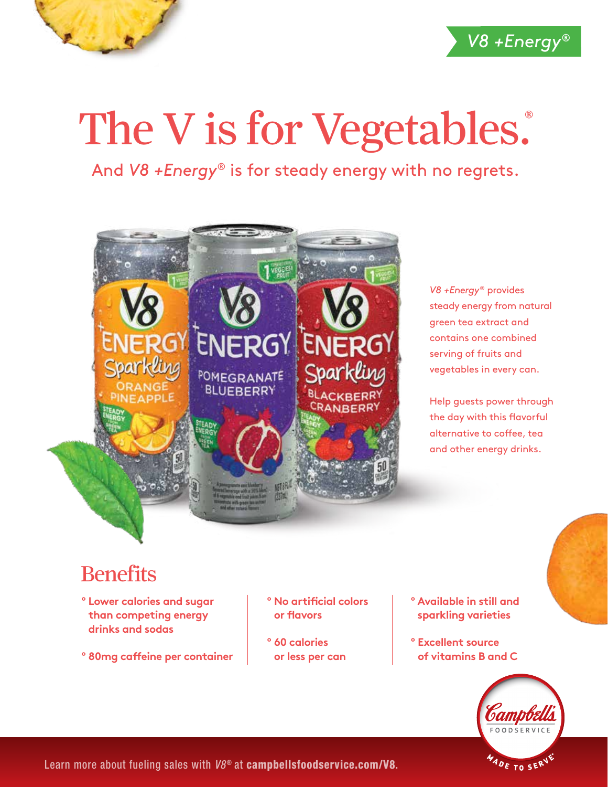

## The V is for Vegetables.

And *V8 +Energy®* is for steady energy with no regrets.



*V8 +Energy*® provides steady energy from natural green tea extract and contains one combined serving of fruits and vegetables in every can.

Help guests power through the day with this flavorful alternative to coffee, tea and other energy drinks.

## **Benefits**

- **º Lower calories and sugar than competing energy drinks and sodas**
- **º 80mg caffeine per container**
- **º No artificial colors or flavors**
- **º 60 calories or less per can**
- **º Available in still and sparkling varieties**
- **º Excellent source of vitamins B and C**



Learn more about fueling sales with  $V8^{\circ}$  at campbellsfoodservice.com/V8.